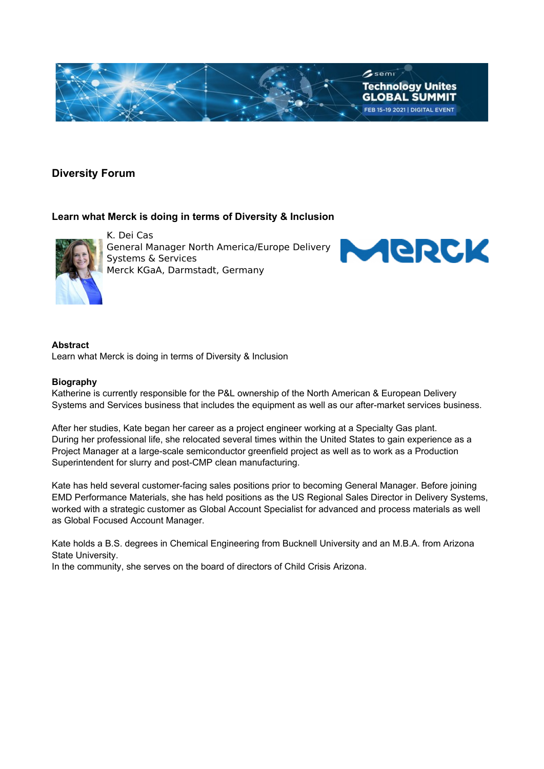

# **Diversity Forum**

## **Learn what Merck is doing in terms of Diversity & Inclusion**



K. Dei Cas General Manager North America/Europe Delivery Systems & Services Merck KGaA, Darmstadt, Germany



#### **Abstract** Learn what Merck is doing in terms of Diversity & Inclusion

### **Biography**

Katherine is currently responsible for the P&L ownership of the North American & European Delivery Systems and Services business that includes the equipment as well as our after-market services business.

After her studies, Kate began her career as a project engineer working at a Specialty Gas plant. During her professional life, she relocated several times within the United States to gain experience as a Project Manager at a large-scale semiconductor greenfield project as well as to work as a Production Superintendent for slurry and post-CMP clean manufacturing.

Kate has held several customer-facing sales positions prior to becoming General Manager. Before joining EMD Performance Materials, she has held positions as the US Regional Sales Director in Delivery Systems, worked with a strategic customer as Global Account Specialist for advanced and process materials as well as Global Focused Account Manager.

Kate holds a B.S. degrees in Chemical Engineering from Bucknell University and an M.B.A. from Arizona State University.

In the community, she serves on the board of directors of Child Crisis Arizona.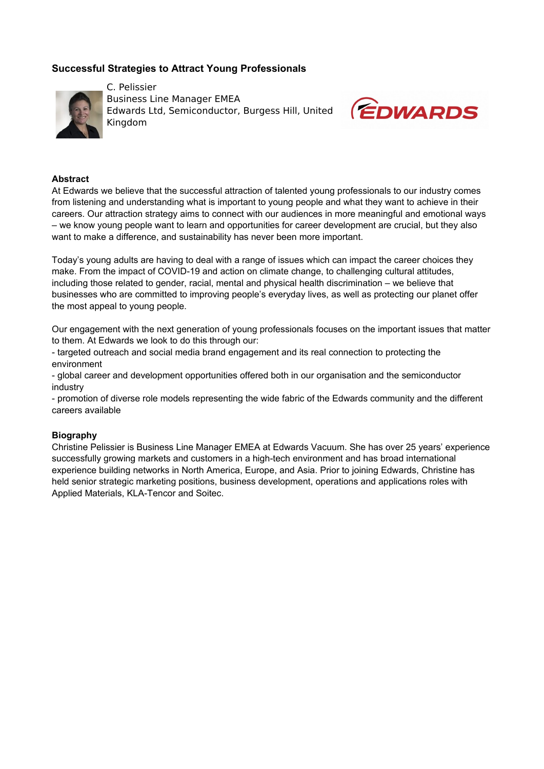# **Successful Strategies to Attract Young Professionals**



C. Pelissier Business Line Manager EMEA Edwards Ltd, Semiconductor, Burgess Hill, United Kingdom



#### **Abstract**

At Edwards we believe that the successful attraction of talented young professionals to our industry comes from listening and understanding what is important to young people and what they want to achieve in their careers. Our attraction strategy aims to connect with our audiences in more meaningful and emotional ways – we know young people want to learn and opportunities for career development are crucial, but they also want to make a difference, and sustainability has never been more important.

Today's young adults are having to deal with a range of issues which can impact the career choices they make. From the impact of COVID-19 and action on climate change, to challenging cultural attitudes, including those related to gender, racial, mental and physical health discrimination – we believe that businesses who are committed to improving people's everyday lives, as well as protecting our planet offer the most appeal to young people.

Our engagement with the next generation of young professionals focuses on the important issues that matter to them. At Edwards we look to do this through our:

- targeted outreach and social media brand engagement and its real connection to protecting the environment

- global career and development opportunities offered both in our organisation and the semiconductor industry

- promotion of diverse role models representing the wide fabric of the Edwards community and the different careers available

#### **Biography**

Christine Pelissier is Business Line Manager EMEA at Edwards Vacuum. She has over 25 years' experience successfully growing markets and customers in a high-tech environment and has broad international experience building networks in North America, Europe, and Asia. Prior to joining Edwards, Christine has held senior strategic marketing positions, business development, operations and applications roles with Applied Materials, KLA-Tencor and Soitec.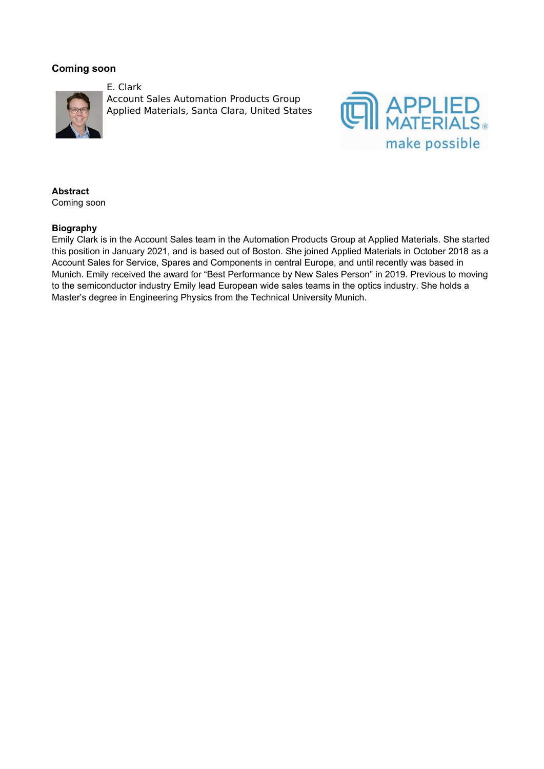## **Coming soon**



E. Clark Account Sales Automation Products Group Applied Materials, Santa Clara, United States



### **Abstract** Coming soon

### **Biography**

Emily Clark is in the Account Sales team in the Automation Products Group at Applied Materials. She started this position in January 2021, and is based out of Boston. She joined Applied Materials in October 2018 as a Account Sales for Service, Spares and Components in central Europe, and until recently was based in Munich. Emily received the award for "Best Performance by New Sales Person" in 2019. Previous to moving to the semiconductor industry Emily lead European wide sales teams in the optics industry. She holds a Master's degree in Engineering Physics from the Technical University Munich.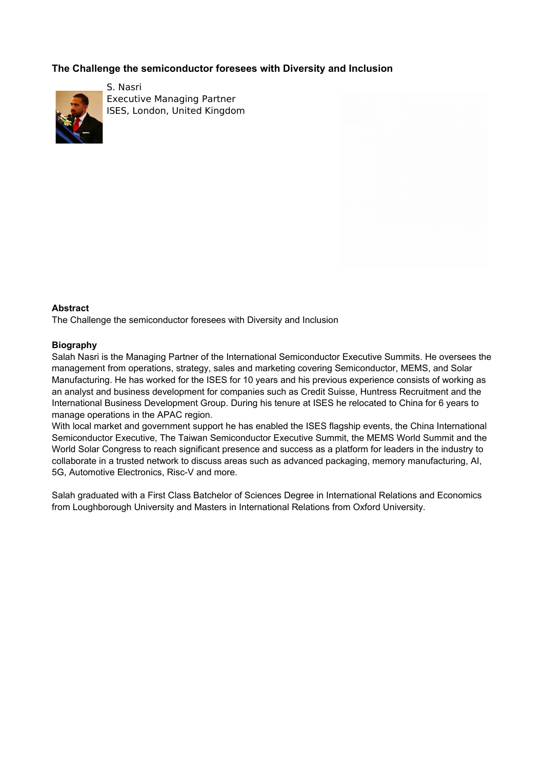# **The Challenge the semiconductor foresees with Diversity and Inclusion**



S. Nasri Executive Managing Partner ISES, London, United Kingdom

### **Abstract**

The Challenge the semiconductor foresees with Diversity and Inclusion

### **Biography**

Salah Nasri is the Managing Partner of the International Semiconductor Executive Summits. He oversees the management from operations, strategy, sales and marketing covering Semiconductor, MEMS, and Solar Manufacturing. He has worked for the ISES for 10 years and his previous experience consists of working as an analyst and business development for companies such as Credit Suisse, Huntress Recruitment and the International Business Development Group. During his tenure at ISES he relocated to China for 6 years to manage operations in the APAC region.

With local market and government support he has enabled the ISES flagship events, the China International Semiconductor Executive, The Taiwan Semiconductor Executive Summit, the MEMS World Summit and the World Solar Congress to reach significant presence and success as a platform for leaders in the industry to collaborate in a trusted network to discuss areas such as advanced packaging, memory manufacturing, AI, 5G, Automotive Electronics, Risc-V and more.

Salah graduated with a First Class Batchelor of Sciences Degree in International Relations and Economics from Loughborough University and Masters in International Relations from Oxford University.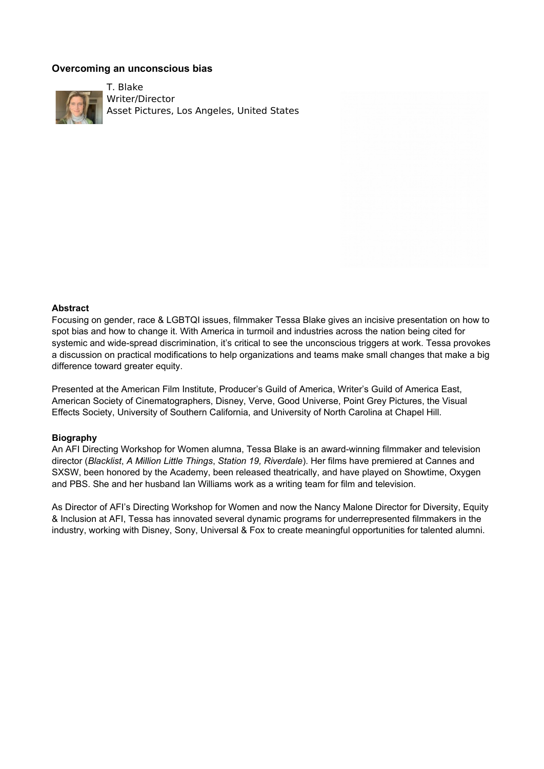## **Overcoming an unconscious bias**



T. Blake Writer/Director Asset Pictures, Los Angeles, United States

#### **Abstract**

Focusing on gender, race & LGBTQI issues, filmmaker Tessa Blake gives an incisive presentation on how to spot bias and how to change it. With America in turmoil and industries across the nation being cited for systemic and wide-spread discrimination, it's critical to see the unconscious triggers at work. Tessa provokes a discussion on practical modifications to help organizations and teams make small changes that make a big difference toward greater equity.

Presented at the American Film Institute, Producer's Guild of America, Writer's Guild of America East, American Society of Cinematographers, Disney, Verve, Good Universe, Point Grey Pictures, the Visual Effects Society, University of Southern California, and University of North Carolina at Chapel Hill.

#### **Biography**

An AFI Directing Workshop for Women alumna, Tessa Blake is an award-winning filmmaker and television director (*Blacklist*, *A Million Little Things*, *Station 19, Riverdale*). Her films have premiered at Cannes and SXSW, been honored by the Academy, been released theatrically, and have played on Showtime, Oxygen and PBS. She and her husband Ian Williams work as a writing team for film and television.

As Director of AFI's Directing Workshop for Women and now the Nancy Malone Director for Diversity, Equity & Inclusion at AFI, Tessa has innovated several dynamic programs for underrepresented filmmakers in the industry, working with Disney, Sony, Universal & Fox to create meaningful opportunities for talented alumni.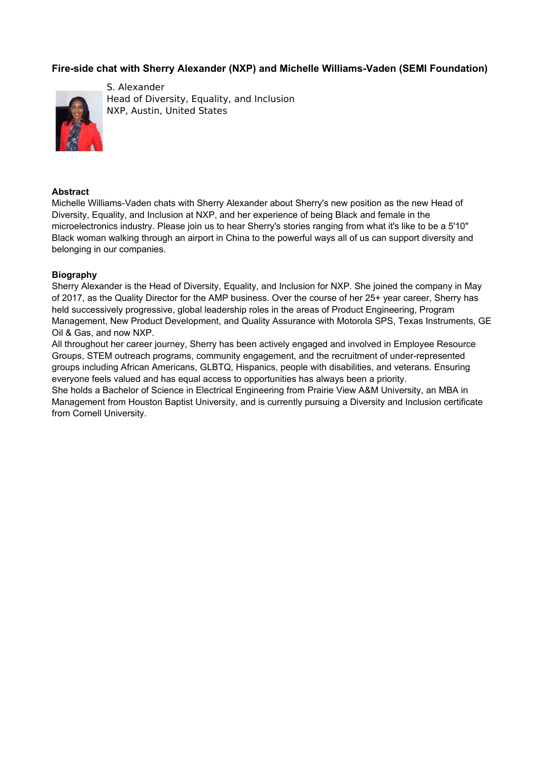# **Fire-side chat with Sherry Alexander (NXP) and Michelle Williams-Vaden (SEMI Foundation)**



S. Alexander Head of Diversity, Equality, and Inclusion NXP, Austin, United States

#### **Abstract**

Michelle Williams-Vaden chats with Sherry Alexander about Sherry's new position as the new Head of Diversity, Equality, and Inclusion at NXP, and her experience of being Black and female in the microelectronics industry. Please join us to hear Sherry's stories ranging from what it's like to be a 5'10" Black woman walking through an airport in China to the powerful ways all of us can support diversity and belonging in our companies.

### **Biography**

Sherry Alexander is the Head of Diversity, Equality, and Inclusion for NXP. She joined the company in May of 2017, as the Quality Director for the AMP business. Over the course of her 25+ year career, Sherry has held successively progressive, global leadership roles in the areas of Product Engineering, Program Management, New Product Development, and Quality Assurance with Motorola SPS, Texas Instruments, GE Oil & Gas, and now NXP.

All throughout her career journey, Sherry has been actively engaged and involved in Employee Resource Groups, STEM outreach programs, community engagement, and the recruitment of under-represented groups including African Americans, GLBTQ, Hispanics, people with disabilities, and veterans. Ensuring everyone feels valued and has equal access to opportunities has always been a priority.

She holds a Bachelor of Science in Electrical Engineering from Prairie View A&M University, an MBA in Management from Houston Baptist University, and is currently pursuing a Diversity and Inclusion certificate from Cornell University.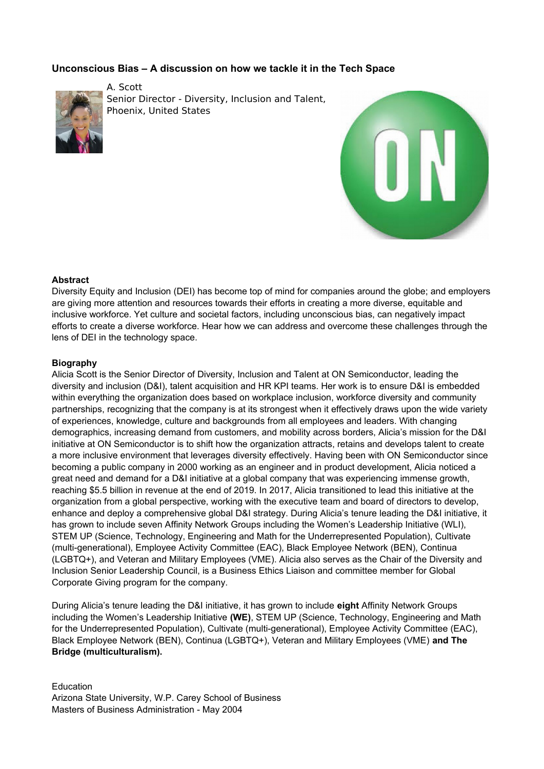# **Unconscious Bias – A discussion on how we tackle it in the Tech Space**



A. Scott Senior Director - Diversity, Inclusion and Talent, Phoenix, United States



### **Abstract**

Diversity Equity and Inclusion (DEI) has become top of mind for companies around the globe; and employers are giving more attention and resources towards their efforts in creating a more diverse, equitable and inclusive workforce. Yet culture and societal factors, including unconscious bias, can negatively impact efforts to create a diverse workforce. Hear how we can address and overcome these challenges through the lens of DEI in the technology space.

### **Biography**

Alicia Scott is the Senior Director of Diversity, Inclusion and Talent at ON Semiconductor, leading the diversity and inclusion (D&I), talent acquisition and HR KPI teams. Her work is to ensure D&I is embedded within everything the organization does based on workplace inclusion, workforce diversity and community partnerships, recognizing that the company is at its strongest when it effectively draws upon the wide variety of experiences, knowledge, culture and backgrounds from all employees and leaders. With changing demographics, increasing demand from customers, and mobility across borders, Alicia's mission for the D&I initiative at ON Semiconductor is to shift how the organization attracts, retains and develops talent to create a more inclusive environment that leverages diversity effectively. Having been with ON Semiconductor since becoming a public company in 2000 working as an engineer and in product development, Alicia noticed a great need and demand for a D&I initiative at a global company that was experiencing immense growth, reaching \$5.5 billion in revenue at the end of 2019. In 2017, Alicia transitioned to lead this initiative at the organization from a global perspective, working with the executive team and board of directors to develop, enhance and deploy a comprehensive global D&I strategy. During Alicia's tenure leading the D&I initiative, it has grown to include seven Affinity Network Groups including the Women's Leadership Initiative (WLI), STEM UP (Science, Technology, Engineering and Math for the Underrepresented Population), Cultivate (multi-generational), Employee Activity Committee (EAC), Black Employee Network (BEN), Continua (LGBTQ+), and Veteran and Military Employees (VME). Alicia also serves as the Chair of the Diversity and Inclusion Senior Leadership Council, is a Business Ethics Liaison and committee member for Global Corporate Giving program for the company.

During Alicia's tenure leading the D&I initiative, it has grown to include **eight** Affinity Network Groups including the Women's Leadership Initiative **(WE)**, STEM UP (Science, Technology, Engineering and Math for the Underrepresented Population), Cultivate (multi-generational), Employee Activity Committee (EAC), Black Employee Network (BEN), Continua (LGBTQ+), Veteran and Military Employees (VME) **and The Bridge (multiculturalism).**

**Education** Arizona State University, W.P. Carey School of Business Masters of Business Administration - May 2004